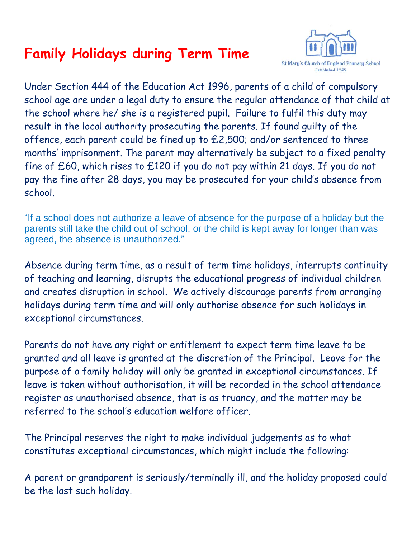## **Family Holidays during Term Time**



Under Section 444 of the Education Act 1996, parents of a child of compulsory school age are under a legal duty to ensure the regular attendance of that child at the school where he/ she is a registered pupil. Failure to fulfil this duty may result in the local authority prosecuting the parents. If found guilty of the offence, each parent could be fined up to £2,500; and/or sentenced to three months' imprisonment. The parent may alternatively be subject to a fixed penalty fine of £60, which rises to £120 if you do not pay within 21 days. If you do not pay the fine after 28 days, you may be prosecuted for your child's absence from school.

"If a school does not authorize a leave of absence for the purpose of a holiday but the parents still take the child out of school, or the child is kept away for longer than was agreed, the absence is unauthorized."

Absence during term time, as a result of term time holidays, interrupts continuity of teaching and learning, disrupts the educational progress of individual children and creates disruption in school. We actively discourage parents from arranging holidays during term time and will only authorise absence for such holidays in exceptional circumstances.

Parents do not have any right or entitlement to expect term time leave to be granted and all leave is granted at the discretion of the Principal. Leave for the purpose of a family holiday will only be granted in exceptional circumstances. If leave is taken without authorisation, it will be recorded in the school attendance register as unauthorised absence, that is as truancy, and the matter may be referred to the school's education welfare officer.

The Principal reserves the right to make individual judgements as to what constitutes exceptional circumstances, which might include the following:

A parent or grandparent is seriously/terminally ill, and the holiday proposed could be the last such holiday.